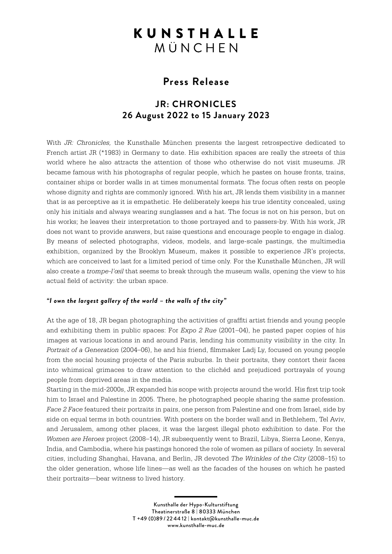# **KUNSTHALLE** MÜNCHEN

# **Press Release**

# **JR: CHRONICLES 26 August 2022 to 15 January 2023**

With *JR: Chronicles,* the Kunsthalle München presents the largest retrospective dedicated to French artist JR (\*1983) in Germany to date. His exhibition spaces are really the streets of this world where he also attracts the attention of those who otherwise do not visit museums. JR became famous with his photographs of regular people, which he pastes on house fronts, trains, container ships or border walls in at times monumental formats. The focus often rests on people whose dignity and rights are commonly ignored. With his art, JR lends them visibility in a manner that is as perceptive as it is empathetic. He deliberately keeps his true identity concealed, using only his initials and always wearing sunglasses and a hat. The focus is not on his person, but on his works; he leaves their interpretation to those portrayed and to passers-by. With his work, JR does not want to provide answers, but raise questions and encourage people to engage in dialog. By means of selected photographs, videos, models, and large-scale pastings, the multimedia exhibition, organized by the Brooklyn Museum, makes it possible to experience JR's projects, which are conceived to last for a limited period of time only. For the Kunsthalle München, JR will also create a *trompe-l'œil* that seems to break through the museum walls, opening the view to his actual field of activity: the urban space.

## *"I own the largest gallery of the world – the walls of the city"*

At the age of 18, JR began photographing the activities of graffiti artist friends and young people and exhibiting them in public spaces: For *Expo 2 Rue* (2001–04), he pasted paper copies of his images at various locations in and around Paris, lending his community visibility in the city. In *Portrait of a Generation* (2004–06), he and his friend, filmmaker Ladj Ly, focused on young people from the social housing projects of the Paris suburbs. In their portraits, they contort their faces into whimsical grimaces to draw attention to the clichéd and prejudiced portrayals of young people from deprived areas in the media.

Starting in the mid-2000s, JR expanded his scope with projects around the world. His first trip took him to Israel and Palestine in 2005. There, he photographed people sharing the same profession. *Face 2 Face* featured their portraits in pairs, one person from Palestine and one from Israel, side by side on equal terms in both countries. With posters on the border wall and in Bethlehem, Tel Aviv, and Jerusalem, among other places, it was the largest illegal photo exhibition to date. For the *Women are Heroes* project (2008–14), JR subsequently went to Brazil, Libya, Sierra Leone, Kenya, India, and Cambodia, where his pastings honored the role of women as pillars of society. In several cities, including Shanghai, Havana, and Berlin, JR devoted *The Wrinkles of the City* (2008–15) to the older generation, whose life lines—as well as the facades of the houses on which he pasted their portraits—bear witness to lived history.

> Kunsthalle der Hypo-Kulturstiftung Theatinerstraße 8 | 80333 München T +49 (0)89 / 22 44 12 | kontakt@kunsthalle-muc.de www.kunsthalle-muc.de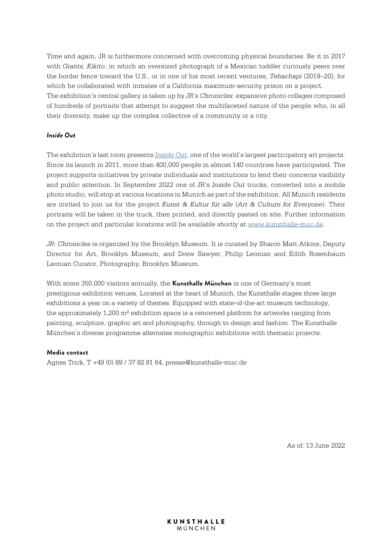Time and again, JR is furthermore concerned with overcoming physical boundaries. Be it in 2017 with *Giants, Kikito*, in which an oversized photograph of a Mexican toddler curiously peers over the border fence toward the U.S., or in one of his most recent ventures, *Tehachapi* (2019–20), for which he collaborated with inmates of a California maximum-security prison on a project. The exhibition's central gallery is taken up by JR's *Chronicles*: expansive photo collages composed of hundreds of portraits that attempt to suggest the multifaceted nature of the people who, in all their diversity, make up the complex collective of a community or a city.

## *Inside Out*

The exhibition's last room presents *[Inside Out](https://www.insideoutproject.net/en/)*, one of the world's largest participatory art projects. Since its launch in 2011, more than 400,000 people in almost 140 countries have participated. The project supports initiatives by private individuals and institutions to lend their concerns visibility and public attention. In September 2022 one of JR's *Inside Out* trucks, converted into a mobile photo studio, will stop at various locations in Munich as part of the exhibition. All Munich residents are invited to join us for the project *Kunst & Kultur für alle* (*Art & Culture for Everyone*). Their portraits will be taken in the truck, then printed, and directly pasted on site. Further information on the project and particular locations will be available shortly at [www.kunsthalle-muc.de.](http://www.kunsthalle-muc.de)

*JR: Chronicles* is organized by the Brooklyn Museum. It is curated by Sharon Matt Atkins, Deputy Director for Art, Brooklyn Museum, and Drew Sawyer, Philip Leonian and Edith Rosenbaum Leonian Curator, Photography, Brooklyn Museum.

With some 350,000 visitors annually, the **Kunsthalle München** is one of Germany's most prestigious exhibition venues. Located at the heart of Munich, the Kunsthalle stages three large exhibitions a year on a variety of themes. Equipped with state-of-the-art museum technology, the approximately 1,200 m² exhibition space is a renowned platform for artworks ranging from painting, sculpture, graphic art and photography, through to design and fashion. The Kunsthalle München's diverse programme alternates monographic exhibitions with thematic projects.

## **Media contact**

Agnes Trick, T +49 (0) 89 / 37 82 81 64, presse@kunsthalle-muc.de

As of: 13 June 2022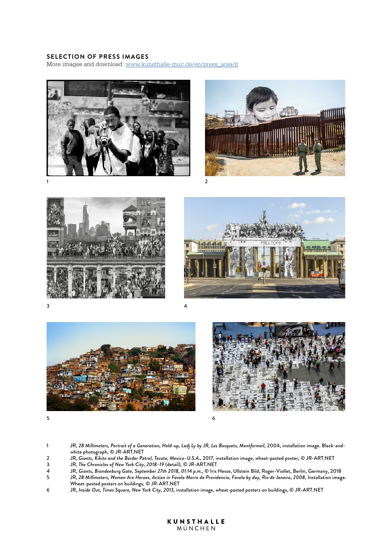### **SELECTION OF PRESS IMAGES**

More images and download: [www.kunsthalle-muc.de/en/press\\_area/jr](http://www.kunsthalle-muc.de/en/press_area/jr)













 $5<sup>6</sup>$ 

1 JR, *28 Millimeters, Portrait of a Generation, Hold-up, Ladj Ly by JR, Les Bosquets, Montfermeil,* 2004, installation image. Black-andwhite photograph, © JR-ART.NET

- 2 JR, *Giants, Kikito and the Border Patrol, Tecate, Mexico–U.S.A.,* 2017*,* installation image, wheat-pasted poster, © JR-ART.NET
- 3 JR, *The Chronicles of New York City, 2018–19* (detail)*,* © JR-ART.NET
- 4 JR, *Giants, Brandenburg Gate, September 27th 2018, 01:14 p.m.,* © Iris Hesse, Ullstein Bild, Roger-Viollet, Berlin, Germany, 2018
- 5 JR, *28 Millimeters, Women Are Heroes, Action in Favela Morro da Providencia, Favela by day, Rio de Janeiro, 2008,* Installation image. Wheat-pasted posters on buildings*,* © JR-ART.NET
- 6 JR, *Inside Out, Times Square, New York City, 2013,* installation image, wheat-pasted posters on buildings, © JR-ART.NET